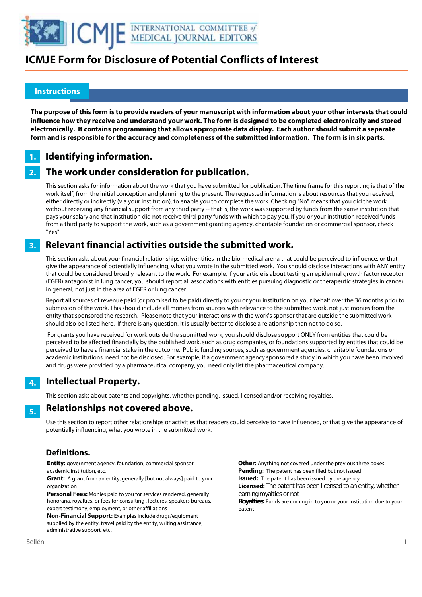

## **Instructions**

**The purpose of this form is to provide readers of your manuscript with information about your other interests that could influence how they receive and understand your work. The form is designed to be completed electronically and stored electronically. It contains programming that allows appropriate data display. Each author should submit a separate form and is responsible for the accuracy and completeness of the submitted information. The form is in six parts.** 

### **Identifying information. 1.**

### **The work under consideration for publication. 2.**

This section asks for information about the work that you have submitted for publication. The time frame for this reporting is that of the work itself, from the initial conception and planning to the present. The requested information is about resources that you received, either directly or indirectly (via your institution), to enable you to complete the work. Checking "No" means that you did the work without receiving any financial support from any third party -- that is, the work was supported by funds from the same institution that pays your salary and that institution did not receive third-party funds with which to pay you. If you or your institution received funds from a third party to support the work, such as a government granting agency, charitable foundation or commercial sponsor, check "Yes".

#### **Relevant financial activities outside the submitted work. 3.**

This section asks about your financial relationships with entities in the bio-medical arena that could be perceived to influence, or that give the appearance of potentially influencing, what you wrote in the submitted work. You should disclose interactions with ANY entity that could be considered broadly relevant to the work. For example, if your article is about testing an epidermal growth factor receptor (EGFR) antagonist in lung cancer, you should report all associations with entities pursuing diagnostic or therapeutic strategies in cancer in general, not just in the area of EGFR or lung cancer.

Report all sources of revenue paid (or promised to be paid) directly to you or your institution on your behalf over the 36 months prior to submission of the work. This should include all monies from sources with relevance to the submitted work, not just monies from the entity that sponsored the research. Please note that your interactions with the work's sponsor that are outside the submitted work should also be listed here. If there is any question, it is usually better to disclose a relationship than not to do so.

 For grants you have received for work outside the submitted work, you should disclose support ONLY from entities that could be perceived to be affected financially by the published work, such as drug companies, or foundations supported by entities that could be perceived to have a financial stake in the outcome. Public funding sources, such as government agencies, charitable foundations or academic institutions, need not be disclosed. For example, if a government agency sponsored a study in which you have been involved and drugs were provided by a pharmaceutical company, you need only list the pharmaceutical company.

### **Intellectual Property. 4.**

This section asks about patents and copyrights, whether pending, issued, licensed and/or receiving royalties.

### **Relationships not covered above. 5.**

Use this section to report other relationships or activities that readers could perceive to have influenced, or that give the appearance of potentially influencing, what you wrote in the submitted work.

## **Definitions.**

**Entity:** government agency, foundation, commercial sponsor, academic institution, etc.

**Grant:** A grant from an entity, generally [but not always] paid to your organization

**Personal Fees:** Monies paid to you for services rendered, generally honoraria, royalties, or fees for consulting , lectures, speakers bureaus, expert testimony, employment, or other affiliations

**Non-Financial Support:** Examples include drugs/equipment supplied by the entity, travel paid by the entity, writing assistance, administrative support, etc**.**

**Other:** Anything not covered under the previous three boxes **Pending:** The patent has been filed but not issued **Issued:** The patent has been issued by the agency **Licensed:** The patent has been licensed to an entity, whether earning royalties or not **Royalties:** Funds are coming in to you or your institution due to your patent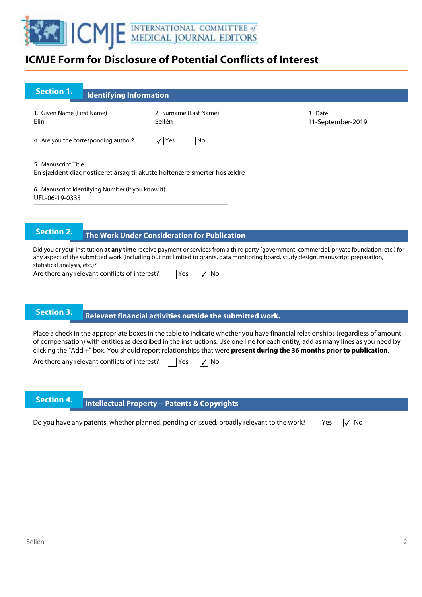

| <b>Section 1.</b>                                                                                                                                                                                                                                                                                                                                                                                                                                                    | <b>Identifying Information</b>                |                                                                                                                                                                                                            |  |                                                                                                                                               |  |
|----------------------------------------------------------------------------------------------------------------------------------------------------------------------------------------------------------------------------------------------------------------------------------------------------------------------------------------------------------------------------------------------------------------------------------------------------------------------|-----------------------------------------------|------------------------------------------------------------------------------------------------------------------------------------------------------------------------------------------------------------|--|-----------------------------------------------------------------------------------------------------------------------------------------------|--|
| 1. Given Name (First Name)<br>Elin                                                                                                                                                                                                                                                                                                                                                                                                                                   |                                               | 2. Surname (Last Name)<br>Sellén                                                                                                                                                                           |  | 3. Date<br>11-September-2019                                                                                                                  |  |
|                                                                                                                                                                                                                                                                                                                                                                                                                                                                      | 4. Are you the corresponding author?          | $\sqrt{\left  \right.}$ Yes<br>No                                                                                                                                                                          |  |                                                                                                                                               |  |
| 5. Manuscript Title                                                                                                                                                                                                                                                                                                                                                                                                                                                  |                                               | En sjældent diagnosticeret årsag til akutte hoftenære smerter hos ældre                                                                                                                                    |  |                                                                                                                                               |  |
| 6. Manuscript Identifying Number (if you know it)<br>UFL-06-19-0333                                                                                                                                                                                                                                                                                                                                                                                                  |                                               |                                                                                                                                                                                                            |  |                                                                                                                                               |  |
| <b>Section 2.</b><br>statistical analysis, etc.)?                                                                                                                                                                                                                                                                                                                                                                                                                    | Are there any relevant conflicts of interest? | The Work Under Consideration for Publication<br>any aspect of the submitted work (including but not limited to grants, data monitoring board, study design, manuscript preparation,<br>Yes<br>$\sqrt{ NQ}$ |  | Did you or your institution at any time receive payment or services from a third party (government, commercial, private foundation, etc.) for |  |
| <b>Section 3.</b>                                                                                                                                                                                                                                                                                                                                                                                                                                                    |                                               | Relevant financial activities outside the submitted work.                                                                                                                                                  |  |                                                                                                                                               |  |
| Place a check in the appropriate boxes in the table to indicate whether you have financial relationships (regardless of amount<br>of compensation) with entities as described in the instructions. Use one line for each entity; add as many lines as you need by<br>clicking the "Add +" box. You should report relationships that were present during the 36 months prior to publication.<br>Are there any relevant conflicts of interest?<br>$\sqrt{ }$ No<br>Yes |                                               |                                                                                                                                                                                                            |  |                                                                                                                                               |  |
| <b>Section 4.</b>                                                                                                                                                                                                                                                                                                                                                                                                                                                    |                                               | <b>Intellectual Property -- Patents &amp; Copyrights</b>                                                                                                                                                   |  |                                                                                                                                               |  |

Do you have any patents, whether planned, pending or issued, broadly relevant to the work?  $\Box$  Yes  $\Box$  No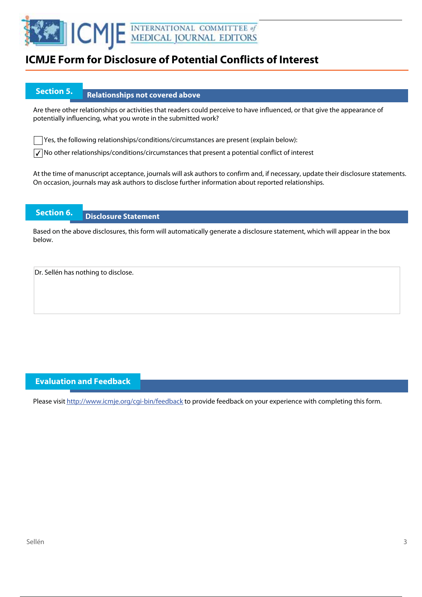

# **Section 5.** Relationships not covered above

Are there other relationships or activities that readers could perceive to have influenced, or that give the appearance of potentially influencing, what you wrote in the submitted work?

Yes, the following relationships/conditions/circumstances are present (explain below):

 $\sqrt{\sqrt{}}$  No other relationships/conditions/circumstances that present a potential conflict of interest

At the time of manuscript acceptance, journals will ask authors to confirm and, if necessary, update their disclosure statements. On occasion, journals may ask authors to disclose further information about reported relationships.

## **Section 6. Disclosure Statement**

Based on the above disclosures, this form will automatically generate a disclosure statement, which will appear in the box below.

Dr. Sellén has nothing to disclose.

## **Evaluation and Feedback**

Please visit http://www.icmje.org/cgi-bin/feedback to provide feedback on your experience with completing this form.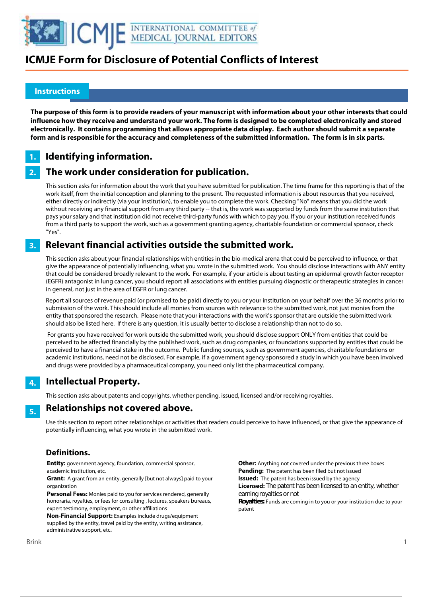

## **Instructions**

**The purpose of this form is to provide readers of your manuscript with information about your other interests that could influence how they receive and understand your work. The form is designed to be completed electronically and stored electronically. It contains programming that allows appropriate data display. Each author should submit a separate form and is responsible for the accuracy and completeness of the submitted information. The form is in six parts.** 

### **Identifying information. 1.**

### **The work under consideration for publication. 2.**

This section asks for information about the work that you have submitted for publication. The time frame for this reporting is that of the work itself, from the initial conception and planning to the present. The requested information is about resources that you received, either directly or indirectly (via your institution), to enable you to complete the work. Checking "No" means that you did the work without receiving any financial support from any third party -- that is, the work was supported by funds from the same institution that pays your salary and that institution did not receive third-party funds with which to pay you. If you or your institution received funds from a third party to support the work, such as a government granting agency, charitable foundation or commercial sponsor, check "Yes".

#### **Relevant financial activities outside the submitted work. 3.**

This section asks about your financial relationships with entities in the bio-medical arena that could be perceived to influence, or that give the appearance of potentially influencing, what you wrote in the submitted work. You should disclose interactions with ANY entity that could be considered broadly relevant to the work. For example, if your article is about testing an epidermal growth factor receptor (EGFR) antagonist in lung cancer, you should report all associations with entities pursuing diagnostic or therapeutic strategies in cancer in general, not just in the area of EGFR or lung cancer.

Report all sources of revenue paid (or promised to be paid) directly to you or your institution on your behalf over the 36 months prior to submission of the work. This should include all monies from sources with relevance to the submitted work, not just monies from the entity that sponsored the research. Please note that your interactions with the work's sponsor that are outside the submitted work should also be listed here. If there is any question, it is usually better to disclose a relationship than not to do so.

 For grants you have received for work outside the submitted work, you should disclose support ONLY from entities that could be perceived to be affected financially by the published work, such as drug companies, or foundations supported by entities that could be perceived to have a financial stake in the outcome. Public funding sources, such as government agencies, charitable foundations or academic institutions, need not be disclosed. For example, if a government agency sponsored a study in which you have been involved and drugs were provided by a pharmaceutical company, you need only list the pharmaceutical company.

### **Intellectual Property. 4.**

This section asks about patents and copyrights, whether pending, issued, licensed and/or receiving royalties.

### **Relationships not covered above. 5.**

Use this section to report other relationships or activities that readers could perceive to have influenced, or that give the appearance of potentially influencing, what you wrote in the submitted work.

## **Definitions.**

**Entity:** government agency, foundation, commercial sponsor, academic institution, etc.

**Grant:** A grant from an entity, generally [but not always] paid to your organization

**Personal Fees:** Monies paid to you for services rendered, generally honoraria, royalties, or fees for consulting , lectures, speakers bureaus, expert testimony, employment, or other affiliations

**Non-Financial Support:** Examples include drugs/equipment supplied by the entity, travel paid by the entity, writing assistance, administrative support, etc**.**

**Other:** Anything not covered under the previous three boxes **Pending:** The patent has been filed but not issued **Issued:** The patent has been issued by the agency **Licensed:** The patent has been licensed to an entity, whether earning royalties or not **Royalties:** Funds are coming in to you or your institution due to your patent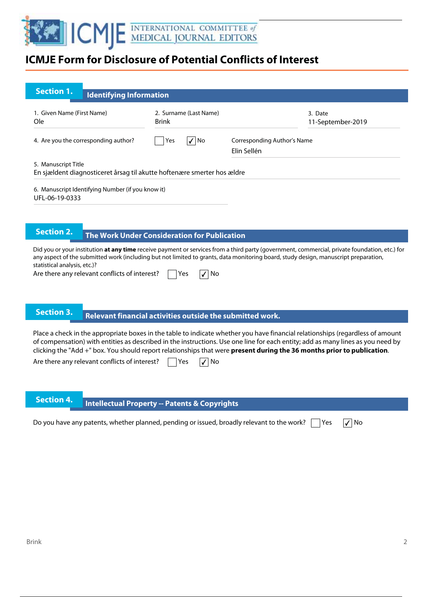

| <b>Section 1.</b>                                                                                                                                                                                                                                                                    | <b>Identifying Information</b>                                                                 |              |                        |             |                                                                                                                                 |  |
|--------------------------------------------------------------------------------------------------------------------------------------------------------------------------------------------------------------------------------------------------------------------------------------|------------------------------------------------------------------------------------------------|--------------|------------------------|-------------|---------------------------------------------------------------------------------------------------------------------------------|--|
|                                                                                                                                                                                                                                                                                      |                                                                                                |              |                        |             |                                                                                                                                 |  |
| 1. Given Name (First Name)                                                                                                                                                                                                                                                           |                                                                                                | <b>Brink</b> | 2. Surname (Last Name) |             | 3. Date                                                                                                                         |  |
|                                                                                                                                                                                                                                                                                      | Ole                                                                                            |              |                        |             | 11-September-2019                                                                                                               |  |
| 4. Are you the corresponding author?<br>$\sqrt{ NQ}$<br>Yes<br>Corresponding Author's Name                                                                                                                                                                                           |                                                                                                |              |                        |             |                                                                                                                                 |  |
|                                                                                                                                                                                                                                                                                      |                                                                                                |              |                        | Elin Sellén |                                                                                                                                 |  |
|                                                                                                                                                                                                                                                                                      |                                                                                                |              |                        |             |                                                                                                                                 |  |
|                                                                                                                                                                                                                                                                                      | 5. Manuscript Title<br>En sjældent diagnosticeret årsag til akutte hoftenære smerter hos ældre |              |                        |             |                                                                                                                                 |  |
|                                                                                                                                                                                                                                                                                      |                                                                                                |              |                        |             |                                                                                                                                 |  |
| UFL-06-19-0333                                                                                                                                                                                                                                                                       | 6. Manuscript Identifying Number (if you know it)                                              |              |                        |             |                                                                                                                                 |  |
|                                                                                                                                                                                                                                                                                      |                                                                                                |              |                        |             |                                                                                                                                 |  |
|                                                                                                                                                                                                                                                                                      |                                                                                                |              |                        |             |                                                                                                                                 |  |
| <b>Section 2.</b>                                                                                                                                                                                                                                                                    |                                                                                                |              |                        |             |                                                                                                                                 |  |
|                                                                                                                                                                                                                                                                                      | <b>The Work Under Consideration for Publication</b>                                            |              |                        |             |                                                                                                                                 |  |
| Did you or your institution at any time receive payment or services from a third party (government, commercial, private foundation, etc.) for<br>any aspect of the submitted work (including but not limited to grants, data monitoring board, study design, manuscript preparation, |                                                                                                |              |                        |             |                                                                                                                                 |  |
| statistical analysis, etc.)?<br>Are there any relevant conflicts of interest?<br>No<br>Yes                                                                                                                                                                                           |                                                                                                |              |                        |             |                                                                                                                                 |  |
|                                                                                                                                                                                                                                                                                      |                                                                                                |              |                        |             |                                                                                                                                 |  |
|                                                                                                                                                                                                                                                                                      |                                                                                                |              |                        |             |                                                                                                                                 |  |
|                                                                                                                                                                                                                                                                                      |                                                                                                |              |                        |             |                                                                                                                                 |  |
| <b>Section 3.</b>                                                                                                                                                                                                                                                                    | Relevant financial activities outside the submitted work.                                      |              |                        |             |                                                                                                                                 |  |
|                                                                                                                                                                                                                                                                                      |                                                                                                |              |                        |             | Place a check in the appropriate boxes in the table to indicate whether you have financial relationships (regardless of amount  |  |
|                                                                                                                                                                                                                                                                                      |                                                                                                |              |                        |             | of compensation) with entities as described in the instructions. Use one line for each entity; add as many lines as you need by |  |
|                                                                                                                                                                                                                                                                                      |                                                                                                |              |                        |             | clicking the "Add +" box. You should report relationships that were present during the 36 months prior to publication.          |  |

Are there any relevant conflicts of interest?  $\Box$  Yes  $\Box$  No

**Intellectual Property -- Patents & Copyrights** 

|  | Do you have any patents, whether planned, pending or issued, broadly relevant to the work? $\Box$ Yes $\Box$ No |  |  |  |
|--|-----------------------------------------------------------------------------------------------------------------|--|--|--|
|--|-----------------------------------------------------------------------------------------------------------------|--|--|--|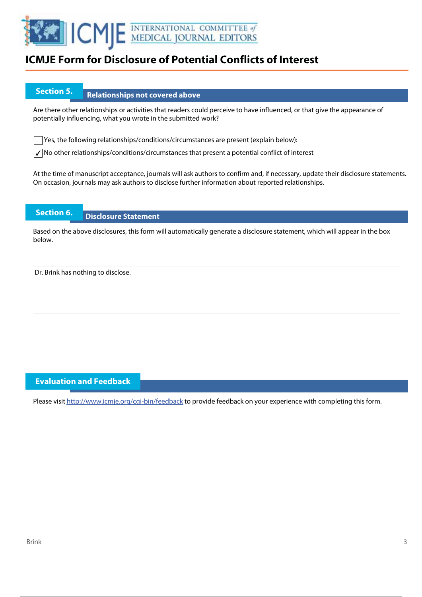

# **Section 5.** Relationships not covered above

Are there other relationships or activities that readers could perceive to have influenced, or that give the appearance of potentially influencing, what you wrote in the submitted work?

Yes, the following relationships/conditions/circumstances are present (explain below):

 $\sqrt{\sqrt{}}$  No other relationships/conditions/circumstances that present a potential conflict of interest

At the time of manuscript acceptance, journals will ask authors to confirm and, if necessary, update their disclosure statements. On occasion, journals may ask authors to disclose further information about reported relationships.

## **Section 6. Disclosure Statement**

Based on the above disclosures, this form will automatically generate a disclosure statement, which will appear in the box below.

Dr. Brink has nothing to disclose.

## **Evaluation and Feedback**

Please visit http://www.icmje.org/cgi-bin/feedback to provide feedback on your experience with completing this form.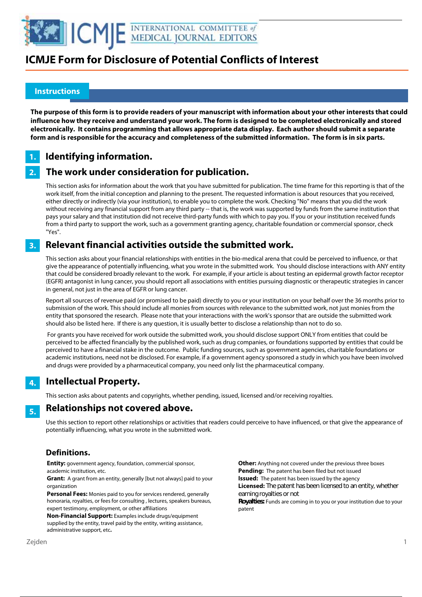

## **Instructions**

**The purpose of this form is to provide readers of your manuscript with information about your other interests that could influence how they receive and understand your work. The form is designed to be completed electronically and stored electronically. It contains programming that allows appropriate data display. Each author should submit a separate form and is responsible for the accuracy and completeness of the submitted information. The form is in six parts.** 

### **Identifying information. 1.**

### **The work under consideration for publication. 2.**

This section asks for information about the work that you have submitted for publication. The time frame for this reporting is that of the work itself, from the initial conception and planning to the present. The requested information is about resources that you received, either directly or indirectly (via your institution), to enable you to complete the work. Checking "No" means that you did the work without receiving any financial support from any third party -- that is, the work was supported by funds from the same institution that pays your salary and that institution did not receive third-party funds with which to pay you. If you or your institution received funds from a third party to support the work, such as a government granting agency, charitable foundation or commercial sponsor, check "Yes".

#### **Relevant financial activities outside the submitted work. 3.**

This section asks about your financial relationships with entities in the bio-medical arena that could be perceived to influence, or that give the appearance of potentially influencing, what you wrote in the submitted work. You should disclose interactions with ANY entity that could be considered broadly relevant to the work. For example, if your article is about testing an epidermal growth factor receptor (EGFR) antagonist in lung cancer, you should report all associations with entities pursuing diagnostic or therapeutic strategies in cancer in general, not just in the area of EGFR or lung cancer.

Report all sources of revenue paid (or promised to be paid) directly to you or your institution on your behalf over the 36 months prior to submission of the work. This should include all monies from sources with relevance to the submitted work, not just monies from the entity that sponsored the research. Please note that your interactions with the work's sponsor that are outside the submitted work should also be listed here. If there is any question, it is usually better to disclose a relationship than not to do so.

 For grants you have received for work outside the submitted work, you should disclose support ONLY from entities that could be perceived to be affected financially by the published work, such as drug companies, or foundations supported by entities that could be perceived to have a financial stake in the outcome. Public funding sources, such as government agencies, charitable foundations or academic institutions, need not be disclosed. For example, if a government agency sponsored a study in which you have been involved and drugs were provided by a pharmaceutical company, you need only list the pharmaceutical company.

### **Intellectual Property. 4.**

This section asks about patents and copyrights, whether pending, issued, licensed and/or receiving royalties.

### **Relationships not covered above. 5.**

Use this section to report other relationships or activities that readers could perceive to have influenced, or that give the appearance of potentially influencing, what you wrote in the submitted work.

## **Definitions.**

**Entity:** government agency, foundation, commercial sponsor, academic institution, etc.

**Grant:** A grant from an entity, generally [but not always] paid to your organization

**Personal Fees:** Monies paid to you for services rendered, generally honoraria, royalties, or fees for consulting , lectures, speakers bureaus, expert testimony, employment, or other affiliations

**Non-Financial Support:** Examples include drugs/equipment supplied by the entity, travel paid by the entity, writing assistance, administrative support, etc**.**

**Other:** Anything not covered under the previous three boxes **Pending:** The patent has been filed but not issued **Issued:** The patent has been issued by the agency **Licensed:** The patent has been licensed to an entity, whether earning royalties or not **Royalties:** Funds are coming in to you or your institution due to your patent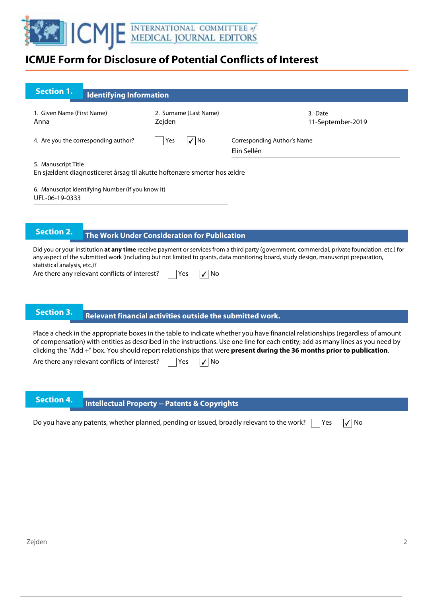

| <b>Section 1.</b>                                                                                                                                                                                                                                                                                                    | <b>Identifying Information</b>                      |                             |                                                                                                                        |                                                                                                                                                                                                                                                                   |  |  |
|----------------------------------------------------------------------------------------------------------------------------------------------------------------------------------------------------------------------------------------------------------------------------------------------------------------------|-----------------------------------------------------|-----------------------------|------------------------------------------------------------------------------------------------------------------------|-------------------------------------------------------------------------------------------------------------------------------------------------------------------------------------------------------------------------------------------------------------------|--|--|
| 1. Given Name (First Name)<br>2. Surname (Last Name)<br>Zejden<br>Anna                                                                                                                                                                                                                                               |                                                     |                             | 3. Date<br>11-September-2019                                                                                           |                                                                                                                                                                                                                                                                   |  |  |
| 4. Are you the corresponding author?                                                                                                                                                                                                                                                                                 |                                                     | $\checkmark$<br>  No<br>Yes | Corresponding Author's Name<br>Elin Sellén                                                                             |                                                                                                                                                                                                                                                                   |  |  |
| 5. Manuscript Title<br>En sjældent diagnosticeret årsag til akutte hoftenære smerter hos ældre                                                                                                                                                                                                                       |                                                     |                             |                                                                                                                        |                                                                                                                                                                                                                                                                   |  |  |
| UFL-06-19-0333                                                                                                                                                                                                                                                                                                       | 6. Manuscript Identifying Number (if you know it)   |                             |                                                                                                                        |                                                                                                                                                                                                                                                                   |  |  |
|                                                                                                                                                                                                                                                                                                                      |                                                     |                             |                                                                                                                        |                                                                                                                                                                                                                                                                   |  |  |
| <b>Section 2.</b>                                                                                                                                                                                                                                                                                                    | <b>The Work Under Consideration for Publication</b> |                             |                                                                                                                        |                                                                                                                                                                                                                                                                   |  |  |
| Did you or your institution at any time receive payment or services from a third party (government, commercial, private foundation, etc.) for<br>any aspect of the submitted work (including but not limited to grants, data monitoring board, study design, manuscript preparation,<br>statistical analysis, etc.)? |                                                     |                             |                                                                                                                        |                                                                                                                                                                                                                                                                   |  |  |
| Are there any relevant conflicts of interest?<br>No<br>Yes                                                                                                                                                                                                                                                           |                                                     |                             |                                                                                                                        |                                                                                                                                                                                                                                                                   |  |  |
|                                                                                                                                                                                                                                                                                                                      |                                                     |                             |                                                                                                                        |                                                                                                                                                                                                                                                                   |  |  |
| <b>Section 3.</b>                                                                                                                                                                                                                                                                                                    |                                                     |                             | Relevant financial activities outside the submitted work.                                                              |                                                                                                                                                                                                                                                                   |  |  |
|                                                                                                                                                                                                                                                                                                                      |                                                     |                             | clicking the "Add +" box. You should report relationships that were present during the 36 months prior to publication. | Place a check in the appropriate boxes in the table to indicate whether you have financial relationships (regardless of amount<br>of compensation) with entities as described in the instructions. Use one line for each entity; add as many lines as you need by |  |  |

Are there any relevant conflicts of interest?  $\Box$  Yes  $\Box$  No

# **Intellectual Property -- Patents & Copyrights**

|  | Do you have any patents, whether planned, pending or issued, broadly relevant to the work? $\Box$ Yes $\Box$ No |  |  |  |
|--|-----------------------------------------------------------------------------------------------------------------|--|--|--|
|--|-----------------------------------------------------------------------------------------------------------------|--|--|--|